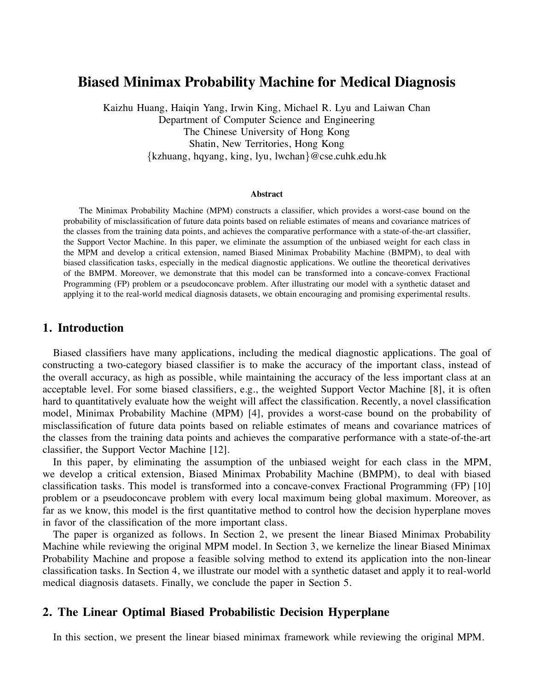# **Biased Minimax Probability Machine for Medical Diagnosis**

Kaizhu Huang, Haiqin Yang, Irwin King, Michael R. Lyu and Laiwan Chan Department of Computer Science and Engineering The Chinese University of Hong Kong Shatin, New Territories, Hong Kong *{*kzhuang, hqyang, king, lyu, lwchan*}*@cse.cuhk.edu.hk

#### **Abstract**

The Minimax Probability Machine (MPM) constructs a classifier, which provides a worst-case bound on the probability of misclassification of future data points based on reliable estimates of means and covariance matrices of the classes from the training data points, and achieves the comparative performance with a state-of-the-art classifier, the Support Vector Machine. In this paper, we eliminate the assumption of the unbiased weight for each class in the MPM and develop a critical extension, named Biased Minimax Probability Machine (BMPM), to deal with biased classification tasks, especially in the medical diagnostic applications. We outline the theoretical derivatives of the BMPM. Moreover, we demonstrate that this model can be transformed into a concave-convex Fractional Programming (FP) problem or a pseudoconcave problem. After illustrating our model with a synthetic dataset and applying it to the real-world medical diagnosis datasets, we obtain encouraging and promising experimental results.

### **1. Introduction**

Biased classifiers have many applications, including the medical diagnostic applications. The goal of constructing a two-category biased classifier is to make the accuracy of the important class, instead of the overall accuracy, as high as possible, while maintaining the accuracy of the less important class at an acceptable level. For some biased classifiers, e.g., the weighted Support Vector Machine [8], it is often hard to quantitatively evaluate how the weight will affect the classification. Recently, a novel classification model, Minimax Probability Machine (MPM) [4], provides a worst-case bound on the probability of misclassification of future data points based on reliable estimates of means and covariance matrices of the classes from the training data points and achieves the comparative performance with a state-of-the-art classifier, the Support Vector Machine [12].

In this paper, by eliminating the assumption of the unbiased weight for each class in the MPM, we develop a critical extension, Biased Minimax Probability Machine (BMPM), to deal with biased classification tasks. This model is transformed into a concave-convex Fractional Programming (FP) [10] problem or a pseudoconcave problem with every local maximum being global maximum. Moreover, as far as we know, this model is the first quantitative method to control how the decision hyperplane moves in favor of the classification of the more important class.

The paper is organized as follows. In Section 2, we present the linear Biased Minimax Probability Machine while reviewing the original MPM model. In Section 3, we kernelize the linear Biased Minimax Probability Machine and propose a feasible solving method to extend its application into the non-linear classification tasks. In Section 4, we illustrate our model with a synthetic dataset and apply it to real-world medical diagnosis datasets. Finally, we conclude the paper in Section 5.

# **2. The Linear Optimal Biased Probabilistic Decision Hyperplane**

In this section, we present the linear biased minimax framework while reviewing the original MPM.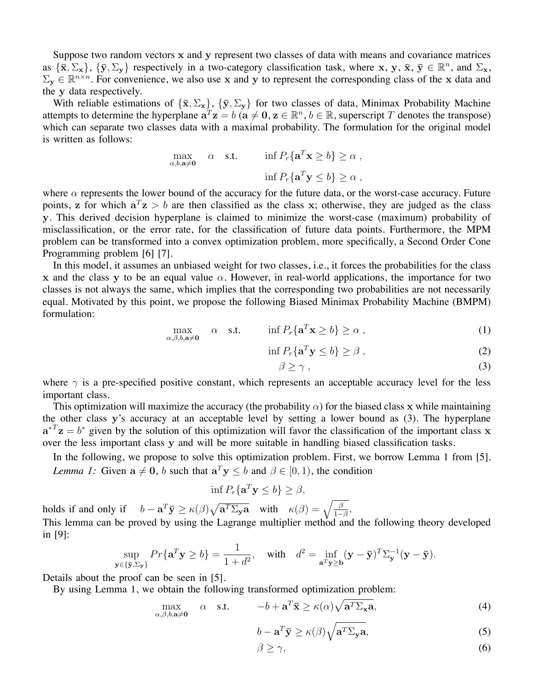Suppose two random vectors x and y represent two classes of data with means and covariance matrices as  $\{\bar{\mathbf{x}}, \Sigma_{\mathbf{x}}\}$ ,  $\{\bar{\mathbf{y}}, \Sigma_{\mathbf{y}}\}$  respectively in a two-category classification task, where x, y,  $\bar{\mathbf{x}}, \bar{\mathbf{y}} \in \mathbb{R}^n$ , and  $\Sigma_{\mathbf{x}}$ ,  $\Sigma_y \in \mathbb{R}^{n \times n}$ . For convenience, we also use x and y to represent the corresponding class of the x data and the y data respectively.

With reliable estimations of  $\{\bar{x}, \Sigma_x\}$ ,  $\{\bar{y}, \Sigma_y\}$  for two classes of data, Minimax Probability Machine attempts to determine the hyperplane  $\mathbf{a}^T \mathbf{z} = b$  ( $\mathbf{a} \neq \mathbf{0}, \mathbf{z} \in \mathbb{R}^n, b \in \mathbb{R}$ , superscript T denotes the transpose) which can separate two classes data with a maximal probability. The formulation for the original model is written as follows:

$$
\max_{\alpha, b, \mathbf{a} \neq \mathbf{0}} \quad \alpha \quad \text{s.t.} \quad \inf P_r \{ \mathbf{a}^T \mathbf{x} \ge b \} \ge \alpha ,
$$

$$
\inf P_r \{ \mathbf{a}^T \mathbf{y} \le b \} \ge \alpha ,
$$

where  $\alpha$  represents the lower bound of the accuracy for the future data, or the worst-case accuracy. Future points, z for which  $a^T z > b$  are then classified as the class x; otherwise, they are judged as the class y. This derived decision hyperplane is claimed to minimize the worst-case (maximum) probability of misclassification, or the error rate, for the classification of future data points. Furthermore, the MPM problem can be transformed into a convex optimization problem, more specifically, a Second Order Cone Programming problem [6] [7].

In this model, it assumes an unbiased weight for two classes, i.e., it forces the probabilities for the class x and the class y to be an equal value  $\alpha$ . However, in real-world applications, the importance for two classes is not always the same, which implies that the corresponding two probabilities are not necessarily equal. Motivated by this point, we propose the following Biased Minimax Probability Machine (BMPM) formulation:

$$
\max_{\alpha,\beta,b,\mathbf{a}\neq\mathbf{0}} \quad \alpha \quad \text{s.t.} \quad \inf P_r\{\mathbf{a}^T \mathbf{x} \ge b\} \ge \alpha \,, \tag{1}
$$

$$
\inf P_r\{\mathbf{a}^T\mathbf{y}\leq b\}\geq \beta\,,\tag{2}
$$

$$
\beta \ge \gamma \tag{3}
$$

where  $\gamma$  is a pre-specified positive constant, which represents an acceptable accuracy level for the less important class.

This optimization will maximize the accuracy (the probability  $\alpha$ ) for the biased class x while maintaining the other class y's accuracy at an acceptable level by setting a lower bound as (3). The hyperplane  $a^{T}z = b^{*}$  given by the solution of this optimization will favor the classification of the important class x over the less important class y and will be more suitable in handling biased classification tasks.

In the following, we propose to solve this optimization problem. First, we borrow Lemma 1 from [5]. *Lemma 1:* Given  $\mathbf{a} \neq \mathbf{0}$ , *b* such that  $\mathbf{a}^T \mathbf{y} \leq b$  and  $\beta \in [0, 1)$ , the condition

$$
\inf P_r\{\mathbf{a}^T\mathbf{y}\leq b\}\geq\beta,
$$

holds if and only if  $b - a^T \bar{y} \ge \kappa(\beta) \sqrt{a^T \Sigma_y a}$  with  $\kappa(\beta) = \sqrt{\frac{\beta}{1-\beta}}$ . This lemma can be proved by using the Lagrange multiplier method and the following theory developed in [9]:

$$
\sup_{\mathbf{y}\in\{\bar{\mathbf{y}},\Sigma_{\mathbf{y}}\}} Pr\{\mathbf{a}^T\mathbf{y}\geq b\} = \frac{1}{1+d^2}, \quad \text{with} \quad d^2 = \inf_{\mathbf{a}^T\mathbf{y}\geq \mathbf{b}} (\mathbf{y}-\bar{\mathbf{y}})^T \Sigma_{\mathbf{y}}^{-1} (\mathbf{y}-\bar{\mathbf{y}}).
$$

Details about the proof can be seen in [5].

By using Lemma 1, we obtain the following transformed optimization problem:

$$
\max_{\alpha,\beta,b,\mathbf{a}\neq\mathbf{0}} \quad \alpha \quad \text{s.t.} \quad -b + \mathbf{a}^T \mathbf{\bar{x}} \ge \kappa(\alpha) \sqrt{\mathbf{a}^T \Sigma_{\mathbf{x}} \mathbf{a}},\tag{4}
$$

$$
b - \mathbf{a}^T \bar{\mathbf{y}} \ge \kappa(\beta) \sqrt{\mathbf{a}^T \Sigma_{\mathbf{y}} \mathbf{a}},\tag{5}
$$

$$
\beta \ge \gamma,\tag{6}
$$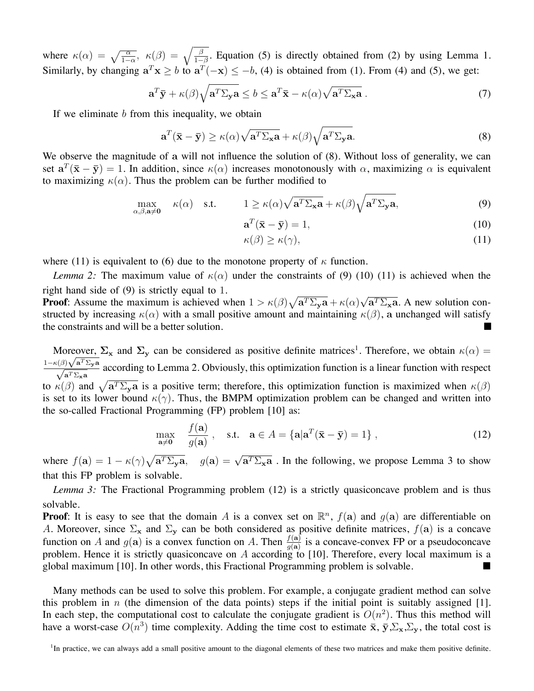where  $\kappa(\alpha) = \sqrt{\frac{\alpha}{1-\alpha}}$ ,  $\kappa(\beta) = \sqrt{\frac{\beta}{1-\beta}}$ . Equation (5) is directly obtained from (2) by using Lemma 1. Similarly, by changing  $\mathbf{a}^T \mathbf{x} \geq b$  to  $\mathbf{a}^T(-\mathbf{x}) \leq -b$ , (4) is obtained from (1). From (4) and (5), we get:

$$
\mathbf{a}^T \mathbf{\bar{y}} + \kappa(\beta) \sqrt{\mathbf{a}^T \Sigma_{\mathbf{y}} \mathbf{a}} \le b \le \mathbf{a}^T \mathbf{\bar{x}} - \kappa(\alpha) \sqrt{\mathbf{a}^T \Sigma_{\mathbf{x}} \mathbf{a}} \,. \tag{7}
$$

If we eliminate *b* from this inequality, we obtain

$$
\mathbf{a}^{T}(\bar{\mathbf{x}} - \bar{\mathbf{y}}) \ge \kappa(\alpha) \sqrt{\mathbf{a}^{T} \Sigma_{\mathbf{x}} \mathbf{a}} + \kappa(\beta) \sqrt{\mathbf{a}^{T} \Sigma_{\mathbf{y}} \mathbf{a}}.
$$
\n(8)

We observe the magnitude of a will not influence the solution of  $(8)$ . Without loss of generality, we can set  $a^T(\bar{x} - \bar{y}) = 1$ . In addition, since  $\kappa(\alpha)$  increases monotonously with  $\alpha$ , maximizing  $\alpha$  is equivalent to maximizing  $\kappa(\alpha)$ . Thus the problem can be further modified to

$$
\max_{\alpha,\beta,\mathbf{a}\neq\mathbf{0}} \kappa(\alpha) \quad \text{s.t.} \qquad 1 \ge \kappa(\alpha)\sqrt{\mathbf{a}^T \Sigma_{\mathbf{x}} \mathbf{a}} + \kappa(\beta)\sqrt{\mathbf{a}^T \Sigma_{\mathbf{y}} \mathbf{a}},\tag{9}
$$

$$
\mathbf{a}^T(\bar{\mathbf{x}} - \bar{\mathbf{y}}) = 1,\tag{10}
$$

$$
\kappa(\beta) \ge \kappa(\gamma),\tag{11}
$$

where (11) is equivalent to (6) due to the monotone property of  $\kappa$  function.

*Lemma 2:* The maximum value of  $\kappa(\alpha)$  under the constraints of (9) (10) (11) is achieved when the right hand side of (9) is strictly equal to 1.

**Proof:** Assume the maximum is achieved when  $1 > \kappa(\beta)\sqrt{a^T\Sigma_y a} + \kappa(\alpha)\sqrt{a^T\Sigma_x a}$ . A new solution constructed by increasing  $\kappa(\alpha)$  with a small positive amount and maintaining  $\kappa(\beta)$ , a unchanged will satisfy the constraints and will be a better solution. •

Moreover,  $\Sigma_x$  and  $\Sigma_y$  can be considered as positive definite matrices<sup>1</sup>. Therefore, we obtain  $\kappa(\alpha)$  =  $\frac{1-\kappa(\beta)\sqrt{a^T\Sigma_ya}}{\sqrt{a^T\Sigma_xa}}$  according to Lemma 2. Obviously, this optimization function is a linear function with respect to  $\kappa(\beta)$  and  $\sqrt{a^T \Sigma_y a}$  is a positive term; therefore, this optimization function is maximized when  $\kappa(\beta)$ is set to its lower bound  $\kappa(\gamma)$ . Thus, the BMPM optimization problem can be changed and written into the so-called Fractional Programming (FP) problem [10] as:

$$
\max_{\mathbf{a}\neq \mathbf{0}} \quad \frac{f(\mathbf{a})}{g(\mathbf{a})}, \quad \text{s.t.} \quad \mathbf{a} \in A = \{ \mathbf{a} | \mathbf{a}^T (\bar{\mathbf{x}} - \bar{\mathbf{y}}) = 1 \}, \tag{12}
$$

where  $f(\mathbf{a}) = 1 - \kappa(\gamma)\sqrt{\mathbf{a}^T \Sigma_y \mathbf{a}}$ ,  $g(\mathbf{a}) = \sqrt{\mathbf{a}^T \Sigma_x \mathbf{a}}$ . In the following, we propose Lemma 3 to show that this FP problem is solvable.

*Lemma 3:* The Fractional Programming problem (12) is a strictly quasiconcave problem and is thus solvable.

**Proof**: It is easy to see that the domain *A* is a convex set on  $\mathbb{R}^n$ ,  $f(\mathbf{a})$  and  $g(\mathbf{a})$  are differentiable on *A*. Moreover, since  $\Sigma_x$  and  $\Sigma_y$  can be both considered as positive definite matrices,  $f(\mathbf{a})$  is a concave function on *A* and  $g(a)$  is a convex function on *A*. Then  $\frac{f(a)}{g(a)}$  is a concave-convex FP or a pseudoconcave problem. Hence it is strictly quasiconcave on *A* according to [10]. Therefore, every local maximum is a global maximum [10]. In other words, this Fractional Programming problem is solvable.

Many methods can be used to solve this problem. For example, a conjugate gradient method can solve this problem in *n* (the dimension of the data points) steps if the initial point is suitably assigned [1]. In each step, the computational cost to calculate the conjugate gradient is  $O(n^2)$ . Thus this method will have a worst-case  $O(n^3)$  time complexity. Adding the time cost to estimate  $\bar{x}$ ,  $\bar{y}$ ,  $\Sigma_x$ ,  $\Sigma_y$ , the total cost is

<sup>&</sup>lt;sup>1</sup>In practice, we can always add a small positive amount to the diagonal elements of these two matrices and make them positive definite.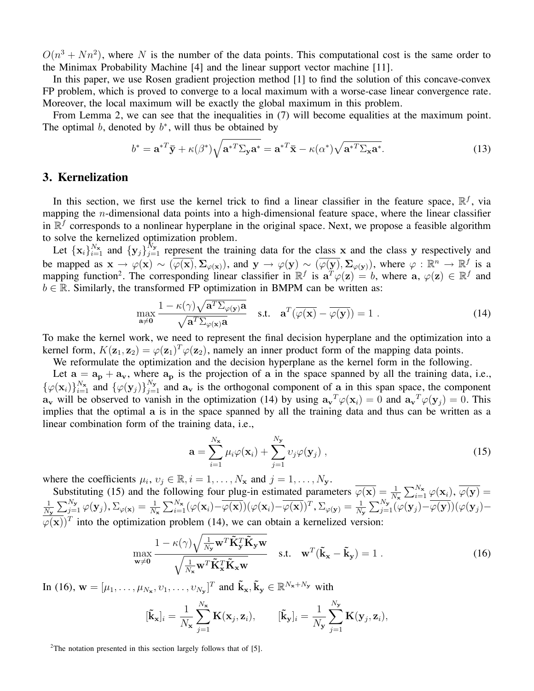$O(n^3 + Nn^2)$ , where *N* is the number of the data points. This computational cost is the same order to the Minimax Probability Machine [4] and the linear support vector machine [11].

In this paper, we use Rosen gradient projection method [1] to find the solution of this concave-convex FP problem, which is proved to converge to a local maximum with a worse-case linear convergence rate. Moreover, the local maximum will be exactly the global maximum in this problem.

From Lemma 2, we can see that the inequalities in (7) will become equalities at the maximum point. The optimal *b*, denoted by  $b^*$ , will thus be obtained by

$$
b^* = \mathbf{a}^{*T}\bar{\mathbf{y}} + \kappa(\beta^*)\sqrt{\mathbf{a}^{*T}\Sigma_{\mathbf{y}}\mathbf{a}^*} = \mathbf{a}^{*T}\bar{\mathbf{x}} - \kappa(\alpha^*)\sqrt{\mathbf{a}^{*T}\Sigma_{\mathbf{x}}\mathbf{a}^*}.
$$
 (13)

# **3. Kernelization**

In this section, we first use the kernel trick to find a linear classifier in the feature space,  $\mathbb{R}^f$ , via mapping the *n*-dimensional data points into a high-dimensional feature space, where the linear classifier in  $\mathbb{R}^f$  corresponds to a nonlinear hyperplane in the original space. Next, we propose a feasible algorithm to solve the kernelized optimization problem.

Let  $\{x_i\}_{i=1}^{N_x}$  and  $\{y_j\}_{j=1}^{N_y}$  represent the training data for the class x and the class y respectively and be mapped as  $\mathbf{x} \to \varphi(\mathbf{x}) \sim (\overline{\varphi(\mathbf{x})}, \Sigma_{\varphi(\mathbf{x})})$ , and  $\mathbf{y} \to \varphi(\mathbf{y}) \sim (\overline{\varphi(\mathbf{y})}, \Sigma_{\varphi(\mathbf{y})})$ , where  $\varphi : \mathbb{R}^n \to \mathbb{R}^f$  is a mapping function<sup>2</sup>. The corresponding linear classifier in  $\mathbb{R}^f$  is  $\mathbf{a}^T\varphi(\mathbf{z}) = b$ , where  $\mathbf{a}, \varphi(\mathbf{z}) \in \mathbb{R}^f$  and  $b \in \mathbb{R}$ . Similarly, the transformed FP optimization in BMPM can be written as:

$$
\max_{\mathbf{a}\neq\mathbf{0}} \frac{1 - \kappa(\gamma)\sqrt{\mathbf{a}^T \Sigma_{\varphi(\mathbf{y})} \mathbf{a}}}{\sqrt{\mathbf{a}^T \Sigma_{\varphi(\mathbf{x})} \mathbf{a}}}
$$
 s.t.  $\mathbf{a}^T(\overline{\varphi(\mathbf{x})} - \overline{\varphi(\mathbf{y})}) = 1$ . (14)

To make the kernel work, we need to represent the final decision hyperplane and the optimization into a kernel form,  $K(\mathbf{z}_1, \mathbf{z}_2) = \varphi(\mathbf{z}_1)^T \varphi(\mathbf{z}_2)$ , namely an inner product form of the mapping data points.

We reformulate the optimization and the decision hyperplane as the kernel form in the following.

Let  $a = a_p + a_v$ , where  $a_p$  is the projection of a in the space spanned by all the training data, i.e.,  ${\varphi(\mathbf{x}_i)}_{i=1}^{N_\mathbf{x}}$  and  ${\varphi(\mathbf{y}_j)}_{j=1}^{N_\mathbf{y}}$  and  $\mathbf{a}_\mathbf{v}$  is the orthogonal component of a in this span space, the component  $\mathbf{a}_{\mathbf{v}}$  will be observed to vanish in the optimization (14) by using  $\mathbf{a}_{\mathbf{v}}^T\varphi(\mathbf{x}_i) = 0$  and  $\mathbf{a}_{\mathbf{v}}^T\varphi(\mathbf{y}_j) = 0$ . This implies that the optimal a is in the space spanned by all the training data and thus can be written as a linear combination form of the training data, i.e.,

$$
\mathbf{a} = \sum_{i=1}^{N_{\mathbf{x}}} \mu_i \varphi(\mathbf{x}_i) + \sum_{j=1}^{N_{\mathbf{y}}} \nu_j \varphi(\mathbf{y}_j) ,
$$
 (15)

where the coefficients  $\mu_i, \nu_j \in \mathbb{R}, i = 1, \ldots, N_x$  and  $j = 1, \ldots, N_y$ .

Substituting (15) and the following four plug-in estimated parameters  $\overline{\varphi(\mathbf{x})} = \frac{1}{N_x} \sum_{i=1}^{N_x} \varphi(\mathbf{x}_i)$ ,  $\overline{\varphi(\mathbf{y})} =$ 1  $\frac{1}{N_{\mathbf{y}}}\sum_{j=1}^{N_{\mathbf{y}}} \varphi(\mathbf{y}_j), \Sigma_{\varphi(\mathbf{x})} = \frac{1}{N_{\mathbf{x}}}\sum_{i=1}^{N_{\mathbf{x}}}(\varphi(\mathbf{x}_i)-\overline{\varphi(\mathbf{x})})(\varphi(\mathbf{x}_i)-\overline{\varphi(\mathbf{x})})^T, \Sigma_{\varphi(\mathbf{y})} = \frac{1}{N_{\mathbf{y}}}\sum_{j=1}^{N_{\mathbf{y}}}(\varphi(\mathbf{y}_j)-\overline{\varphi(\mathbf{y})})(\varphi(\mathbf{y}_j)-\overline{\varphi(\mathbf{y})})^T$  $(\varphi(\mathbf{x}))^T$  into the optimization problem (14), we can obtain a kernelized version:

$$
\max_{\mathbf{w}\neq\mathbf{0}} \frac{1 - \kappa(\gamma)\sqrt{\frac{1}{N_{\mathbf{y}}}\mathbf{w}^T\tilde{\mathbf{K}}_{\mathbf{y}}^T\tilde{\mathbf{K}}_{\mathbf{y}}\mathbf{w}}}{\sqrt{\frac{1}{N_{\mathbf{x}}}\mathbf{w}^T\tilde{\mathbf{K}}_{\mathbf{x}}^T\tilde{\mathbf{K}}_{\mathbf{x}}\mathbf{w}}}} \quad \text{s.t.} \quad \mathbf{w}^T(\tilde{\mathbf{k}}_{\mathbf{x}} - \tilde{\mathbf{k}}_{\mathbf{y}}) = 1 \tag{16}
$$

In (16),  $\mathbf{w} = [\mu_1, \dots, \mu_{N_x}, v_1, \dots, v_{N_y}]^T$  and  $\tilde{\mathbf{k}}_{\mathbf{x}}, \tilde{\mathbf{k}}_{\mathbf{y}} \in \mathbb{R}^{N_x + N_y}$  with

$$
[\tilde{\mathbf{k}}_{\mathbf{x}}]_i = \frac{1}{N_{\mathbf{x}}} \sum_{j=1}^{N_{\mathbf{x}}} \mathbf{K}(\mathbf{x}_j, \mathbf{z}_i), \qquad [\tilde{\mathbf{k}}_{\mathbf{y}}]_i = \frac{1}{N_{\mathbf{y}}} \sum_{j=1}^{N_{\mathbf{y}}} \mathbf{K}(\mathbf{y}_j, \mathbf{z}_i),
$$

<sup>2</sup>The notation presented in this section largely follows that of [5].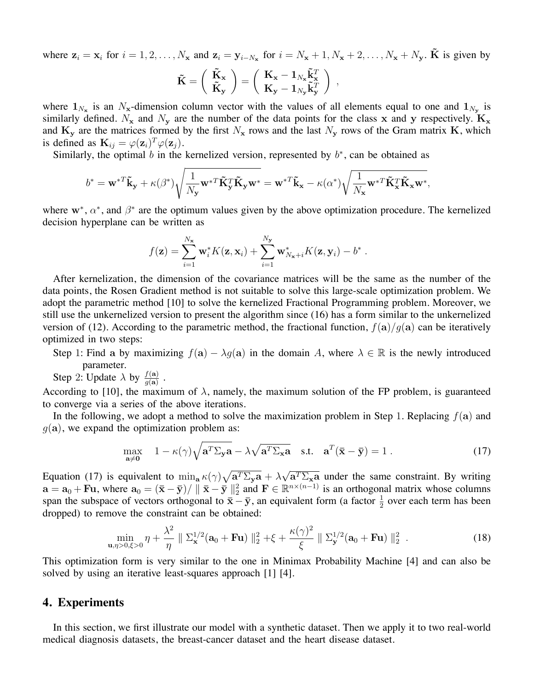where  $z_i = x_i$  for  $i = 1, 2, ..., N_x$  and  $z_i = y_{i-N_x}$  for  $i = N_x + 1, N_x + 2, ..., N_x + N_y$ .  $\tilde{K}$  is given by

$$
\tilde{\mathbf{K}} = \left(\begin{array}{c} \tilde{\mathbf{K}}_{\mathbf{x}} \\ \tilde{\mathbf{K}}_{\mathbf{y}} \end{array}\right) = \left(\begin{array}{c} \mathbf{K}_{\mathbf{x}} - \mathbf{1}_{N_{\mathbf{x}}} \tilde{\mathbf{k}}_{\mathbf{x}}^T \\ \mathbf{K}_{\mathbf{y}} - \mathbf{1}_{N_{\mathbf{y}}} \tilde{\mathbf{k}}_{\mathbf{y}}^T \end{array}\right) ,
$$

where  $1_{N_x}$  is an  $N_x$ -dimension column vector with the values of all elements equal to one and  $1_{N_y}$  is similarly defined.  $N_x$  and  $N_y$  are the number of the data points for the class x and y respectively.  $K_x$ and  $K_y$  are the matrices formed by the first  $N_x$  rows and the last  $N_y$  rows of the Gram matrix K, which is defined as  $\mathbf{K}_{ij} = \varphi(\mathbf{z}_i)^T \varphi(\mathbf{z}_j)$ .

Similarly, the optimal  $b$  in the kernelized version, represented by  $b^*$ , can be obtained as

$$
b^* = {\mathbf w}^{*T}\tilde{\mathbf k}_{\mathbf y} + \kappa(\beta^*)\sqrt{\frac{1}{N_{\mathbf y}}{\mathbf w}^{*T}\tilde{\mathbf K}_{\mathbf y}^T\tilde{\mathbf K}_{\mathbf y}{\mathbf w}^*} = {\mathbf w}^{*T}\tilde{\mathbf k}_{\mathbf x} - \kappa(\alpha^*)\sqrt{\frac{1}{N_{\mathbf x}}{\mathbf w}^{*T}\tilde{\mathbf K}_{\mathbf x}^T\tilde{\mathbf K}_{\mathbf x}{\mathbf w}^*},
$$

where  $\mathbf{w}^*, \alpha^*$ , and  $\beta^*$  are the optimum values given by the above optimization procedure. The kernelized decision hyperplane can be written as

$$
f(\mathbf{z}) = \sum_{i=1}^{N_{\mathbf{x}}} \mathbf{w}_i^* K(\mathbf{z}, \mathbf{x}_i) + \sum_{i=1}^{N_{\mathbf{y}}} \mathbf{w}_{N_{\mathbf{x}}+i}^* K(\mathbf{z}, \mathbf{y}_i) - b^*.
$$

After kernelization, the dimension of the covariance matrices will be the same as the number of the data points, the Rosen Gradient method is not suitable to solve this large-scale optimization problem. We adopt the parametric method [10] to solve the kernelized Fractional Programming problem. Moreover, we still use the unkernelized version to present the algorithm since (16) has a form similar to the unkernelized version of (12). According to the parametric method, the fractional function, *f*(a)*/g*(a) can be iteratively optimized in two steps:

Step 1: Find a by maximizing  $f(\mathbf{a}) - \lambda g(\mathbf{a})$  in the domain A, where  $\lambda \in \mathbb{R}$  is the newly introduced parameter.

Step 2: Update  $\lambda$  by  $\frac{f(\mathbf{a})}{g(\mathbf{a})}$ .

According to [10], the maximum of  $\lambda$ , namely, the maximum solution of the FP problem, is guaranteed to converge via a series of the above iterations.

In the following, we adopt a method to solve the maximization problem in Step 1. Replacing *f*(a) and  $q(a)$ , we expand the optimization problem as:

$$
\max_{\mathbf{a}\neq \mathbf{0}} \quad 1 - \kappa(\gamma) \sqrt{\mathbf{a}^T \Sigma_{\mathbf{y}} \mathbf{a}} - \lambda \sqrt{\mathbf{a}^T \Sigma_{\mathbf{x}} \mathbf{a}} \quad \text{s.t.} \quad \mathbf{a}^T (\bar{\mathbf{x}} - \bar{\mathbf{y}}) = 1 \tag{17}
$$

Equation (17) is equivalent to  $\min_{a} \kappa(\gamma) \sqrt{a^T \Sigma_{y} a} + \lambda \sqrt{a^T \Sigma_{x} a}$  under the same constraint. By writing  $\mathbf{a} = \mathbf{a}_0 + \mathbf{F} \mathbf{u}$ , where  $\mathbf{a}_0 = (\mathbf{\bar{x}} - \mathbf{\bar{y}})/ ||\mathbf{\bar{x}} - \mathbf{\bar{y}}||_2^2$  and  $\mathbf{F} \in \mathbb{R}^{n \times (n-1)}$  is an orthogonal matrix whose columns span the subspace of vectors orthogonal to  $\bar{x} - \bar{y}$ , an equivalent form (a factor  $\frac{1}{2}$  over each term has been dropped) to remove the constraint can be obtained:

$$
\min_{\mathbf{u}, \eta > 0, \xi > 0} \eta + \frac{\lambda^2}{\eta} \| \Sigma_{\mathbf{x}}^{1/2}(\mathbf{a}_0 + \mathbf{F} \mathbf{u}) \|_2^2 + \xi + \frac{\kappa(\gamma)^2}{\xi} \| \Sigma_{\mathbf{y}}^{1/2}(\mathbf{a}_0 + \mathbf{F} \mathbf{u}) \|_2^2
$$
 (18)

This optimization form is very similar to the one in Minimax Probability Machine [4] and can also be solved by using an iterative least-squares approach [1] [4].

### **4. Experiments**

In this section, we first illustrate our model with a synthetic dataset. Then we apply it to two real-world medical diagnosis datasets, the breast-cancer dataset and the heart disease dataset.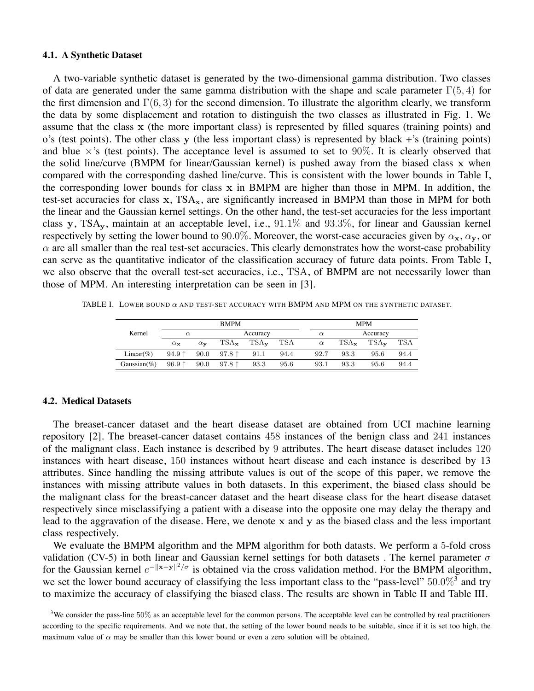#### **4.1. A Synthetic Dataset**

A two-variable synthetic dataset is generated by the two-dimensional gamma distribution. Two classes of data are generated under the same gamma distribution with the shape and scale parameter Γ(5*,* 4) for the first dimension and  $\Gamma(6,3)$  for the second dimension. To illustrate the algorithm clearly, we transform the data by some displacement and rotation to distinguish the two classes as illustrated in Fig. 1. We assume that the class x (the more important class) is represented by filled squares (training points) and o's (test points). The other class y (the less important class) is represented by black +'s (training points) and blue  $\times$ 's (test points). The acceptance level is assumed to set to 90%. It is clearly observed that the solid line/curve (BMPM for linear/Gaussian kernel) is pushed away from the biased class x when compared with the corresponding dashed line/curve. This is consistent with the lower bounds in Table I, the corresponding lower bounds for class  $x$  in BMPM are higher than those in MPM. In addition, the test-set accuracies for class  $x$ , TSA<sub>x</sub>, are significantly increased in BMPM than those in MPM for both the linear and the Gaussian kernel settings. On the other hand, the test-set accuracies for the less important class y, TSAy, maintain at an acceptable level, i.e., 91*.*1% and 93*.*3%, for linear and Gaussian kernel respectively by setting the lower bound to 90.0%. Moreover, the worst-case accuracies given by  $\alpha_x$ ,  $\alpha_y$ , or  $\alpha$  are all smaller than the real test-set accuracies. This clearly demonstrates how the worst-case probability can serve as the quantitative indicator of the classification accuracy of future data points. From Table I, we also observe that the overall test-set accuracies, i.e., TSA, of BMPM are not necessarily lower than those of MPM. An interesting interpretation can be seen in [3].

TABLE I. LOWER BOUND  $\alpha$  and test-set accuracy with BMPM and MPM on the synthetic dataset.

|                 | <b>BMPM</b>           |                       |                    |                    |      | <b>MPM</b>           |                    |                    |      |  |
|-----------------|-----------------------|-----------------------|--------------------|--------------------|------|----------------------|--------------------|--------------------|------|--|
| Kernel          | $\alpha$              |                       | Accuracy           |                    |      | Accuracy<br>$\alpha$ |                    |                    |      |  |
|                 | $\alpha_{\mathbf{x}}$ | $\alpha_{\mathbf{v}}$ | $TSA_{\mathbf{x}}$ | $TSA_{\mathbf{v}}$ | TSA  | $\alpha$             | $TSA_{\mathbf{x}}$ | $TSA_{\mathbf{v}}$ | TSA  |  |
| Linear $(\% )$  | $94.9$ ↑              | 90.0                  | $97.8$ 1           | 91.1               | 94.4 | 92.7                 | 93.3               | 95.6               | 94.4 |  |
| Gaussian $(\%)$ | $96.9$ ↑              | 90.0                  | 97.8 $\uparrow$    | 93.3               | 95.6 | 93.1                 | 93.3               | 95.6               | 94.4 |  |

#### **4.2. Medical Datasets**

The breaset-cancer dataset and the heart disease dataset are obtained from UCI machine learning repository [2]. The breaset-cancer dataset contains 458 instances of the benign class and 241 instances of the malignant class. Each instance is described by 9 attributes. The heart disease dataset includes 120 instances with heart disease, 150 instances without heart disease and each instance is described by 13 attributes. Since handling the missing attribute values is out of the scope of this paper, we remove the instances with missing attribute values in both datasets. In this experiment, the biased class should be the malignant class for the breast-cancer dataset and the heart disease class for the heart disease dataset respectively since misclassifying a patient with a disease into the opposite one may delay the therapy and lead to the aggravation of the disease. Here, we denote x and y as the biased class and the less important class respectively.

We evaluate the BMPM algorithm and the MPM algorithm for both datasts. We perform a 5-fold cross validation (CV-5) in both linear and Gaussian kernel settings for both datasets . The kernel parameter  $\sigma$ for the Gaussian kernel  $e^{-\|\mathbf{x}-\mathbf{y}\|^2/\sigma}$  is obtained via the cross validation method. For the BMPM algorithm, we set the lower bound accuracy of classifying the less important class to the "pass-level" 50.0%<sup>3</sup> and try to maximize the accuracy of classifying the biased class. The results are shown in Table II and Table III.

<sup>&</sup>lt;sup>3</sup>We consider the pass-line 50% as an acceptable level for the common persons. The acceptable level can be controlled by real practitioners according to the specific requirements. And we note that, the setting of the lower bound needs to be suitable, since if it is set too high, the maximum value of  $\alpha$  may be smaller than this lower bound or even a zero solution will be obtained.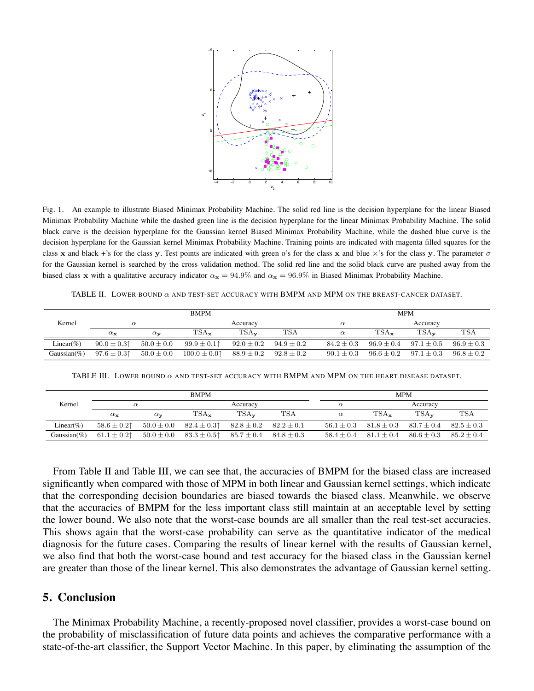

Fig. 1. An example to illustrate Biased Minimax Probability Machine. The solid red line is the decision hyperplane for the linear Biased Minimax Probability Machine while the dashed green line is the decision hyperplane for the linear Minimax Probability Machine. The solid black curve is the decision hyperplane for the Gaussian kernel Biased Minimax Probability Machine, while the dashed blue curve is the decision hyperplane for the Gaussian kernel Minimax Probability Machine. Training points are indicated with magenta filled squares for the class x and black +'s for the class y. Test points are indicated with green o's for the class x and blue  $\times$ 's for the class y. The parameter  $\sigma$ for the Gaussian kernel is searched by the cross validation method. The solid red line and the solid black curve are pushed away from the biased class x with a qualitative accuracy indicator  $\alpha_x = 94.9\%$  and  $\alpha_x = 96.9\%$  in Biased Minimax Probability Machine.

TABLE II. LOWER BOUND  $\alpha$  and test-set accuracy with BMPM and MPM on the breast-cancer dataset.

| Kernel          |                  |                       | <b>BMPM</b>        | <b>MPM</b>         |                |                |                |                    |              |  |
|-----------------|------------------|-----------------------|--------------------|--------------------|----------------|----------------|----------------|--------------------|--------------|--|
|                 | $\alpha$         |                       | Accuracy           |                    |                | $\alpha$       |                |                    | Accuracy     |  |
|                 | $\alpha_{\bf x}$ | $\alpha_{\mathbf{v}}$ | $TSA_{\mathbf{x}}$ | $TSA_{\mathbf{v}}$ | TSA            | $\alpha$       | $TSA_{x}$      | $TSA_{\mathbf{v}}$ | <b>TSA</b>   |  |
| Linear(%)       | $90.0 \pm 0.31$  | $50.0 \pm 0.0$        | $99.9 \pm 0.1$     | $92.0 \pm 0.2$     | $94.9 \pm 0.2$ | $84.2 \pm 0.3$ | $96.9 \pm 0.4$ | $97.1 \pm 0.5$     | $96.9 + 0.3$ |  |
| Gaussian $(\%)$ | $97.6 \pm 0.31$  | $50.0 \pm 0.0$        | $100.0 \pm 0.01$   | $88.9 \pm 0.2$     | $92.8 \pm 0.2$ | $90.1 \pm 0.3$ | $96.6 \pm 0.2$ | $97.1 \pm 0.3$     | $96.8 + 0.2$ |  |

TABLE III. LOWER BOUND  $\alpha$  and test-set accuracy with BMPM and MPM on the heart disease dataset.

|                 |                       |                       | <b>BMPM</b>        | <b>MPM</b>         |                |                |                    |                    |                |
|-----------------|-----------------------|-----------------------|--------------------|--------------------|----------------|----------------|--------------------|--------------------|----------------|
| Kernel          | $\alpha$              |                       | Accuracy           |                    |                | $\alpha$       | Accuracy           |                    |                |
|                 | $\alpha_{\mathbf{x}}$ | $\alpha_{\mathbf{v}}$ | $TSA_{\mathbf{x}}$ | $TSA_{\mathbf{v}}$ | TSA            | $\alpha$       | $TSA_{\mathbf{x}}$ | $TSA_{\mathbf{v}}$ | TSA            |
| Linear $(\% )$  | $58.6 \pm 0.21$       | $50.0 \pm 0.0$        | $82.4 \pm 0.3$     | $82.8 \pm 0.2$     | $82.2 \pm 0.1$ | $56.1 \pm 0.3$ | $81.8 \pm 0.3$     | $83.7 \pm 0.4$     | $82.5 \pm 0.3$ |
| Gaussian $(\%)$ | $61.1 \pm 0.21$       | $50.0 \pm 0.0$        | $83.3 \pm 0.5$     | $85.7 \pm 0.4$     | $84.8 \pm 0.3$ | $58.4 + 0.4$   | $81.1 \pm 0.4$     | $86.6 \pm 0.3$     | $85.2 \pm 0.4$ |

From Table II and Table III, we can see that, the accuracies of BMPM for the biased class are increased significantly when compared with those of MPM in both linear and Gaussian kernel settings, which indicate that the corresponding decision boundaries are biased towards the biased class. Meanwhile, we observe that the accuracies of BMPM for the less important class still maintain at an acceptable level by setting the lower bound. We also note that the worst-case bounds are all smaller than the real test-set accuracies. This shows again that the worst-case probability can serve as the quantitative indicator of the medical diagnosis for the future cases. Comparing the results of linear kernel with the results of Gaussian kernel, we also find that both the worst-case bound and test accuracy for the biased class in the Gaussian kernel are greater than those of the linear kernel. This also demonstrates the advantage of Gaussian kernel setting.

### **5. Conclusion**

The Minimax Probability Machine, a recently-proposed novel classifier, provides a worst-case bound on the probability of misclassification of future data points and achieves the comparative performance with a state-of-the-art classifier, the Support Vector Machine. In this paper, by eliminating the assumption of the